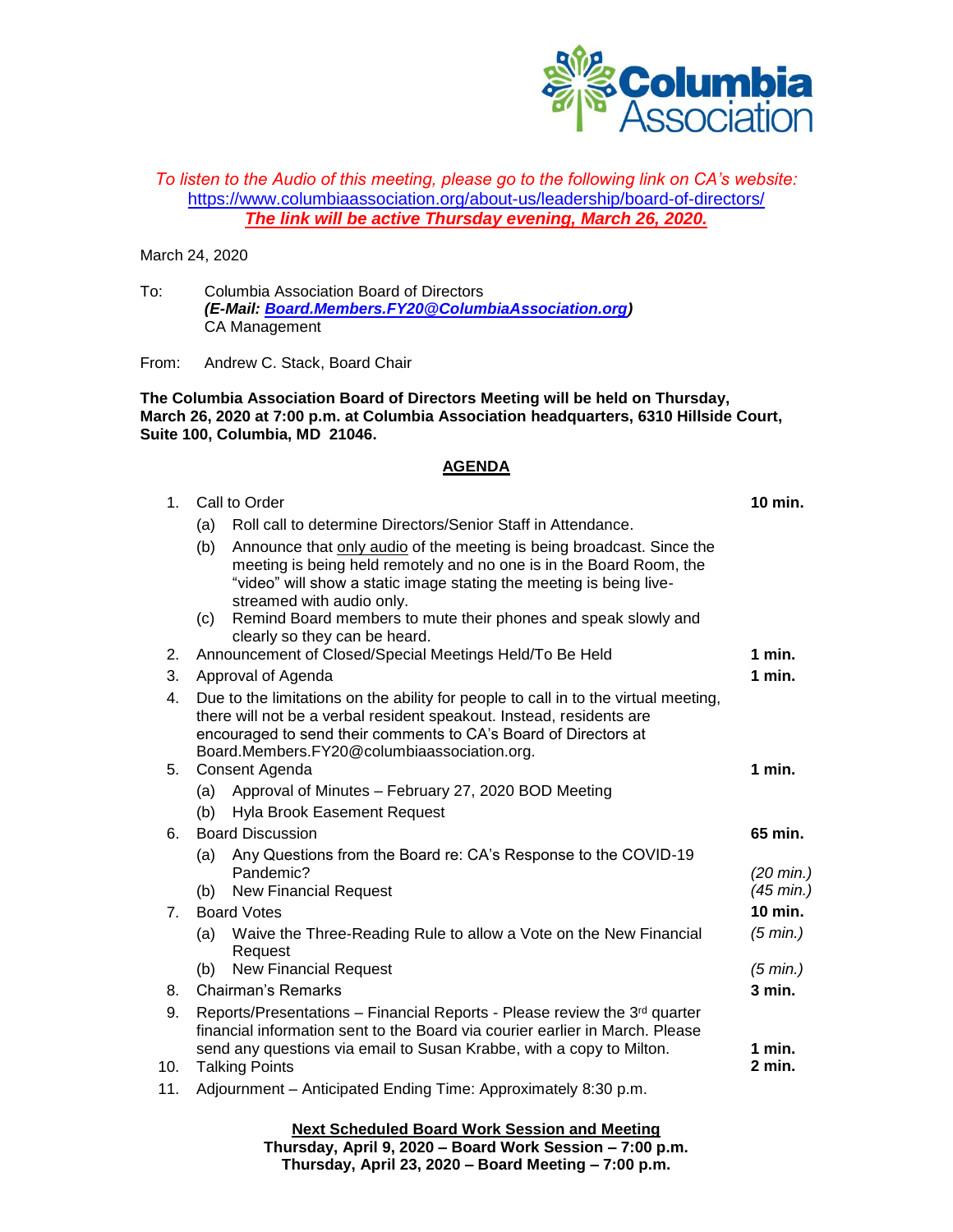

## *To listen to the Audio of this meeting, please go to the following link on CA's website:* <https://www.columbiaassociation.org/about-us/leadership/board-of-directors/> *The link will be active Thursday evening, March 26, 2020.*

March 24, 2020

To: Columbia Association Board of Directors *(E-Mail: [Board.Members.FY20@ColumbiaAssociation.org\)](mailto:Board.Members.FY20@ColumbiaAssociation.org)* CA Management

From: Andrew C. Stack, Board Chair

**The Columbia Association Board of Directors Meeting will be held on Thursday, March 26, 2020 at 7:00 p.m. at Columbia Association headquarters, 6310 Hillside Court, Suite 100, Columbia, MD 21046.**

## **AGENDA**

| 1 <sub>1</sub> | Call to Order                                                                                                                                                                                                                                                                 |                                                                                                                                                                                                                                                  |                                            |
|----------------|-------------------------------------------------------------------------------------------------------------------------------------------------------------------------------------------------------------------------------------------------------------------------------|--------------------------------------------------------------------------------------------------------------------------------------------------------------------------------------------------------------------------------------------------|--------------------------------------------|
|                | (a)                                                                                                                                                                                                                                                                           | Roll call to determine Directors/Senior Staff in Attendance.                                                                                                                                                                                     |                                            |
|                | (b)                                                                                                                                                                                                                                                                           | Announce that only audio of the meeting is being broadcast. Since the<br>meeting is being held remotely and no one is in the Board Room, the<br>"video" will show a static image stating the meeting is being live-<br>streamed with audio only. |                                            |
|                | (c)                                                                                                                                                                                                                                                                           | Remind Board members to mute their phones and speak slowly and<br>clearly so they can be heard.                                                                                                                                                  |                                            |
| 2.             | Announcement of Closed/Special Meetings Held/To Be Held                                                                                                                                                                                                                       |                                                                                                                                                                                                                                                  | $1$ min.                                   |
| 3.             | Approval of Agenda                                                                                                                                                                                                                                                            |                                                                                                                                                                                                                                                  | 1 min.                                     |
| 4.             | Due to the limitations on the ability for people to call in to the virtual meeting,<br>there will not be a verbal resident speakout. Instead, residents are<br>encouraged to send their comments to CA's Board of Directors at<br>Board.Members.FY20@columbiaassociation.org. |                                                                                                                                                                                                                                                  |                                            |
| 5.             | Consent Agenda                                                                                                                                                                                                                                                                |                                                                                                                                                                                                                                                  | 1 min.                                     |
|                | (a)                                                                                                                                                                                                                                                                           | Approval of Minutes - February 27, 2020 BOD Meeting                                                                                                                                                                                              |                                            |
|                | (b)                                                                                                                                                                                                                                                                           | Hyla Brook Easement Request                                                                                                                                                                                                                      |                                            |
| 6.             | <b>Board Discussion</b>                                                                                                                                                                                                                                                       |                                                                                                                                                                                                                                                  | 65 min.                                    |
|                | (a)<br>(b)                                                                                                                                                                                                                                                                    | Any Questions from the Board re: CA's Response to the COVID-19<br>Pandemic?<br><b>New Financial Request</b>                                                                                                                                      | $(20 \text{ min.})$<br>$(45 \text{ min.})$ |
| 7 <sub>1</sub> | <b>Board Votes</b>                                                                                                                                                                                                                                                            |                                                                                                                                                                                                                                                  | $10$ min.                                  |
|                | (a)                                                                                                                                                                                                                                                                           | Waive the Three-Reading Rule to allow a Vote on the New Financial<br>Request                                                                                                                                                                     | (5 min.)                                   |
|                | (b)                                                                                                                                                                                                                                                                           | <b>New Financial Request</b>                                                                                                                                                                                                                     | (5 min.)                                   |
| 8.             | Chairman's Remarks                                                                                                                                                                                                                                                            |                                                                                                                                                                                                                                                  | $3$ min.                                   |
| 9.             | Reports/Presentations – Financial Reports - Please review the $3^{rd}$ quarter<br>financial information sent to the Board via courier earlier in March. Please<br>send any questions via email to Susan Krabbe, with a copy to Milton.                                        |                                                                                                                                                                                                                                                  | 1 min.                                     |
| 10.            | 2 min.<br><b>Talking Points</b>                                                                                                                                                                                                                                               |                                                                                                                                                                                                                                                  |                                            |
| 11.            | Adjournment - Anticipated Ending Time: Approximately 8:30 p.m.                                                                                                                                                                                                                |                                                                                                                                                                                                                                                  |                                            |